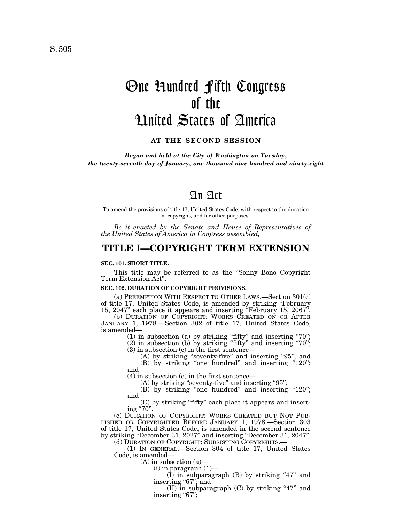# One Hundred Fifth Congress of the United States of America

## **AT THE SECOND SESSION**

*Begun and held at the City of Washington on Tuesday, the twenty-seventh day of January, one thousand nine hundred and ninety-eight*

# An Act

To amend the provisions of title 17, United States Code, with respect to the duration of copyright, and for other purposes.

*Be it enacted by the Senate and House of Representatives of the United States of America in Congress assembled,*

# **TITLE I—COPYRIGHT TERM EXTENSION**

#### **SEC. 101. SHORT TITLE.**

This title may be referred to as the ''Sonny Bono Copyright Term Extension Act''.

#### **SEC. 102. DURATION OF COPYRIGHT PROVISIONS.**

(a) PREEMPTION WITH RESPECT TO OTHER LAWS.—Section 301(c) of title 17, United States Code, is amended by striking ''February 15, 2047'' each place it appears and inserting ''February 15, 2067''.

(b) DURATION OF COPYRIGHT: WORKS CREATED ON OR AFTER JANUARY 1, 1978.—Section 302 of title 17, United States Code, is amended—

 $(1)$  in subsection  $(a)$  by striking "fifty" and inserting "70";

(2) in subsection (b) by striking ''fifty'' and inserting ''70''; (3) in subsection (c) in the first sentence—

(A) by striking "seventy-five" and inserting "95"; and  $(B)$  by striking "one hundred" and inserting "120";

and

(4) in subsection (e) in the first sentence—

(A) by striking "seventy-five" and inserting "95";

(B) by striking "one hundred" and inserting "120"; and

(C) by striking ''fifty'' each place it appears and inserting "70".

(c) DURATION OF COPYRIGHT: WORKS CREATED BUT NOT PUB-LISHED OR COPYRIGHTED BEFORE JANUARY 1, 1978.—Section 303 of title 17, United States Code, is amended in the second sentence by striking ''December 31, 2027'' and inserting ''December 31, 2047''.

(d) DURATION OF COPYRIGHT: SUBSISTING COPYRIGHTS.—

(1) IN GENERAL.—Section 304 of title 17, United States Code, is amended—

(A) in subsection (a)— (i) in paragraph (1)—

 $(I)$  in subparagraph  $(B)$  by striking "47" and inserting "67"; and

(II) in subparagraph  $(C)$  by striking "47" and inserting "67";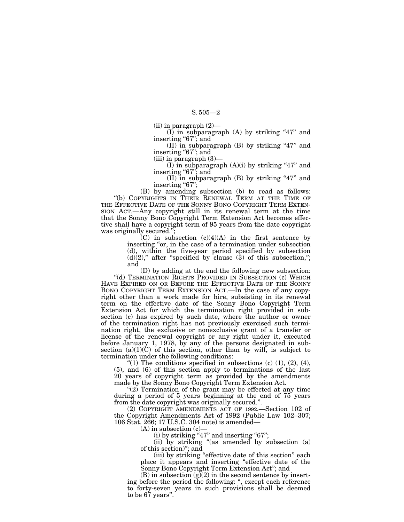(ii) in paragraph (2)—

 $(I)$  in subparagraph  $(A)$  by striking "47" and inserting ''67''; and

(II) in subparagraph  $(B)$  by striking "47" and inserting "67"; and

 $(iii)$  in paragraph  $(3)$ –

(I) in subparagraph  $(A)(i)$  by striking "47" and inserting "67"; and

(II) in subparagraph (B) by striking "47" and inserting "67";

(B) by amending subsection (b) to read as follows: ''(b) COPYRIGHTS IN THEIR RENEWAL TERM AT THE TIME OF THE EFFECTIVE DATE OF THE SONNY BONO COPYRIGHT TERM EXTEN-SION ACT.—Any copyright still in its renewal term at the time that the Sonny Bono Copyright Term Extension Act becomes effective shall have a copyright term of 95 years from the date copyright was originally secured.'';

> (C) in subsection  $(c)(4)(A)$  in the first sentence by inserting "or, in the case of a termination under subsection (d), within the five-year period specified by subsection  $(d)(2)$ ," after "specified by clause  $(3)$  of this subsection,"; and

(D) by adding at the end the following new subsection: "(d) TERMINATION RIGHTS PROVIDED IN SUBSECTION (c) WHICH HAVE EXPIRED ON OR BEFORE THE EFFECTIVE DATE OF THE SONNY BONO COPYRIGHT TERM EXTENSION ACT.—In the case of any copyright other than a work made for hire, subsisting in its renewal term on the effective date of the Sonny Bono Copyright Term Extension Act for which the termination right provided in subsection (c) has expired by such date, where the author or owner of the termination right has not previously exercised such termination right, the exclusive or nonexclusive grant of a transfer or license of the renewal copyright or any right under it, executed before January 1, 1978, by any of the persons designated in subsection  $(a)(1)(C)$  of this section, other than by will, is subject to termination under the following conditions:

"(1) The conditions specified in subsections (c)  $(1)$ ,  $(2)$ ,  $(4)$ , (5), and (6) of this section apply to terminations of the last 20 years of copyright term as provided by the amendments made by the Sonny Bono Copyright Term Extension Act.

"(2) Termination of the grant may be effected at any time during a period of 5 years beginning at the end of 75 years from the date copyright was originally secured.''.

(2) COPYRIGHT AMENDMENTS ACT OF 1992.—Section 102 of the Copyright Amendments Act of 1992 (Public Law 102–307; 106 Stat. 266; 17 U.S.C. 304 note) is amended—

(A) in subsection (c)—

 $(i)$  by striking "47" and inserting "67";

(ii) by striking "(as amended by subsection (a) of this section)''; and

(iii) by striking ''effective date of this section'' each place it appears and inserting ''effective date of the Sonny Bono Copyright Term Extension Act''; and

(B) in subsection  $(g)(2)$  in the second sentence by inserting before the period the following: '', except each reference to forty-seven years in such provisions shall be deemed to be 67 years''.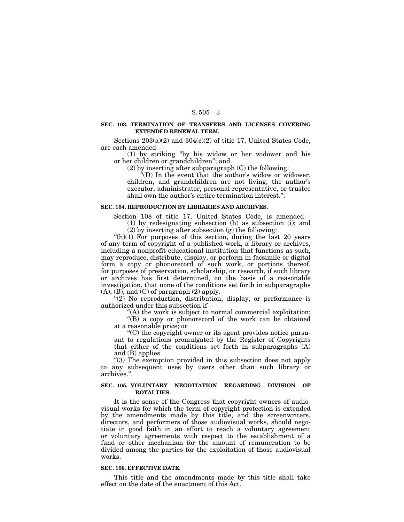#### **SEC. 103. TERMINATION OF TRANSFERS AND LICENSES COVERING EXTENDED RENEWAL TERM.**

Sections  $203(a)(2)$  and  $304(c)(2)$  of title 17, United States Code, are each amended—

(1) by striking ''by his widow or her widower and his or her children or grandchildren''; and

(2) by inserting after subparagraph (C) the following:

''(D) In the event that the author's widow or widower, children, and grandchildren are not living, the author's executor, administrator, personal representative, or trustee shall own the author's entire termination interest.''.

#### **SEC. 104. REPRODUCTION BY LIBRARIES AND ARCHIVES.**

Section 108 of title 17, United States Code, is amended— (1) by redesignating subsection (h) as subsection (i); and

(2) by inserting after subsection (g) the following:

" $(h)(1)$  For purposes of this section, during the last 20 years of any term of copyright of a published work, a library or archives, including a nonprofit educational institution that functions as such, may reproduce, distribute, display, or perform in facsimile or digital form a copy or phonorecord of such work, or portions thereof, for purposes of preservation, scholarship, or research, if such library or archives has first determined, on the basis of a reasonable investigation, that none of the conditions set forth in subparagraphs  $(A)$ ,  $(B)$ , and  $(C)$  of paragraph  $(2)$  apply.

"(2) No reproduction, distribution, display, or performance is authorized under this subsection if—

"(A) the work is subject to normal commercial exploitation;

''(B) a copy or phonorecord of the work can be obtained at a reasonable price; or

''(C) the copyright owner or its agent provides notice pursuant to regulations promulgated by the Register of Copyrights that either of the conditions set forth in subparagraphs (A) and (B) applies.

''(3) The exemption provided in this subsection does not apply to any subsequent uses by users other than such library or archives.''.

## **SEC. 105. VOLUNTARY NEGOTIATION REGARDING DIVISION OF ROYALTIES.**

It is the sense of the Congress that copyright owners of audiovisual works for which the term of copyright protection is extended by the amendments made by this title, and the screenwriters, directors, and performers of those audiovisual works, should negotiate in good faith in an effort to reach a voluntary agreement or voluntary agreements with respect to the establishment of a fund or other mechanism for the amount of remuneration to be divided among the parties for the exploitation of those audiovisual works.

#### **SEC. 106. EFFECTIVE DATE.**

This title and the amendments made by this title shall take effect on the date of the enactment of this Act.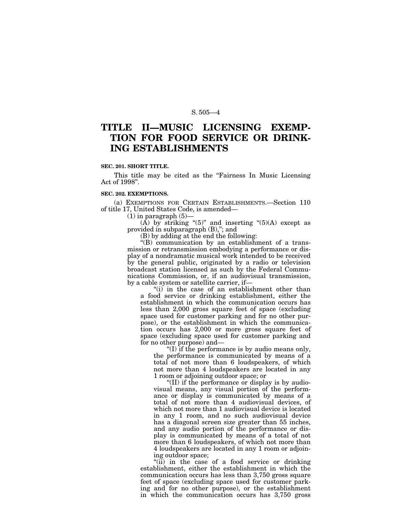# **TITLE II—MUSIC LICENSING EXEMP-TION FOR FOOD SERVICE OR DRINK-ING ESTABLISHMENTS**

#### **SEC. 201. SHORT TITLE.**

This title may be cited as the "Fairness In Music Licensing" Act of 1998''.

#### **SEC. 202. EXEMPTIONS.**

(a) EXEMPTIONS FOR CERTAIN ESTABLISHMENTS.—Section 110 of title 17, United States Code, is amended—

 $(1)$  in paragraph  $(5)$ —

(A) by striking " $(5)$ " and inserting " $(5)(A)$  except as provided in subparagraph (B),"; and

(B) by adding at the end the following:

''(B) communication by an establishment of a transmission or retransmission embodying a performance or display of a nondramatic musical work intended to be received by the general public, originated by a radio or television broadcast station licensed as such by the Federal Communications Commission, or, if an audiovisual transmission, by a cable system or satellite carrier, if—

"(i) in the case of an establishment other than a food service or drinking establishment, either the establishment in which the communication occurs has less than 2,000 gross square feet of space (excluding space used for customer parking and for no other purpose), or the establishment in which the communication occurs has 2,000 or more gross square feet of space (excluding space used for customer parking and for no other purpose) and—

''(I) if the performance is by audio means only, the performance is communicated by means of a total of not more than 6 loudspeakers, of which not more than 4 loudspeakers are located in any 1 room or adjoining outdoor space; or

''(II) if the performance or display is by audiovisual means, any visual portion of the performance or display is communicated by means of a total of not more than 4 audiovisual devices, of which not more than 1 audiovisual device is located in any 1 room, and no such audiovisual device has a diagonal screen size greater than 55 inches, and any audio portion of the performance or display is communicated by means of a total of not more than 6 loudspeakers, of which not more than 4 loudspeakers are located in any 1 room or adjoining outdoor space;

"(ii) in the case of a food service or drinking establishment, either the establishment in which the communication occurs has less than 3,750 gross square feet of space (excluding space used for customer parking and for no other purpose), or the establishment in which the communication occurs has 3,750 gross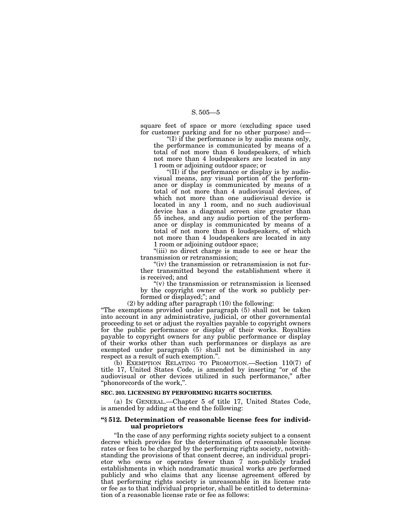square feet of space or more (excluding space used for customer parking and for no other purpose) and—

''(I) if the performance is by audio means only, the performance is communicated by means of a total of not more than 6 loudspeakers, of which not more than 4 loudspeakers are located in any 1 room or adjoining outdoor space; or

''(II) if the performance or display is by audiovisual means, any visual portion of the performance or display is communicated by means of a total of not more than 4 audiovisual devices, of which not more than one audiovisual device is located in any 1 room, and no such audiovisual device has a diagonal screen size greater than 55 inches, and any audio portion of the performance or display is communicated by means of a total of not more than 6 loudspeakers, of which not more than 4 loudspeakers are located in any 1 room or adjoining outdoor space;

"(iii) no direct charge is made to see or hear the transmission or retransmission;

"(iv) the transmission or retransmission is not further transmitted beyond the establishment where it is received; and

" $(v)$  the transmission or retransmission is licensed by the copyright owner of the work so publicly performed or displayed;''; and

(2) by adding after paragraph (10) the following:

''The exemptions provided under paragraph (5) shall not be taken into account in any administrative, judicial, or other governmental proceeding to set or adjust the royalties payable to copyright owners for the public performance or display of their works. Royalties payable to copyright owners for any public performance or display of their works other than such performances or displays as are exempted under paragraph (5) shall not be diminished in any respect as a result of such exemption.''.

(b) EXEMPTION RELATING TO PROMOTION.—Section 110(7) of title 17, United States Code, is amended by inserting ''or of the audiovisual or other devices utilized in such performance,'' after ''phonorecords of the work,''.

#### **SEC. 203. LICENSING BY PERFORMING RIGHTS SOCIETIES.**

(a) IN GENERAL.—Chapter 5 of title 17, United States Code, is amended by adding at the end the following:

#### **''§ 512. Determination of reasonable license fees for individual proprietors**

''In the case of any performing rights society subject to a consent decree which provides for the determination of reasonable license rates or fees to be charged by the performing rights society, notwithstanding the provisions of that consent decree, an individual proprietor who owns or operates fewer than 7 non-publicly traded establishments in which nondramatic musical works are performed publicly and who claims that any license agreement offered by that performing rights society is unreasonable in its license rate or fee as to that individual proprietor, shall be entitled to determination of a reasonable license rate or fee as follows: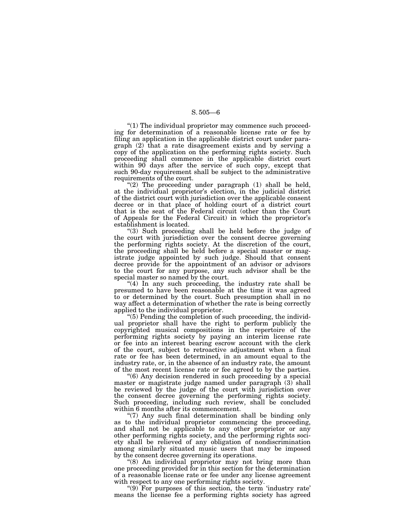''(1) The individual proprietor may commence such proceeding for determination of a reasonable license rate or fee by filing an application in the applicable district court under paragraph (2) that a rate disagreement exists and by serving a copy of the application on the performing rights society. Such proceeding shall commence in the applicable district court within 90 days after the service of such copy, except that such 90-day requirement shall be subject to the administrative requirements of the court.

"(2) The proceeding under paragraph (1) shall be held, at the individual proprietor's election, in the judicial district of the district court with jurisdiction over the applicable consent decree or in that place of holding court of a district court that is the seat of the Federal circuit (other than the Court of Appeals for the Federal Circuit) in which the proprietor's establishment is located.

''(3) Such proceeding shall be held before the judge of the court with jurisdiction over the consent decree governing the performing rights society. At the discretion of the court, the proceeding shall be held before a special master or magistrate judge appointed by such judge. Should that consent decree provide for the appointment of an advisor or advisors to the court for any purpose, any such advisor shall be the special master so named by the court.

"(4) In any such proceeding, the industry rate shall be presumed to have been reasonable at the time it was agreed to or determined by the court. Such presumption shall in no way affect a determination of whether the rate is being correctly applied to the individual proprietor.

 $(5)$  Pending the completion of such proceeding, the individual proprietor shall have the right to perform publicly the copyrighted musical compositions in the repertoire of the performing rights society by paying an interim license rate or fee into an interest bearing escrow account with the clerk of the court, subject to retroactive adjustment when a final rate or fee has been determined, in an amount equal to the industry rate, or, in the absence of an industry rate, the amount of the most recent license rate or fee agreed to by the parties.

''(6) Any decision rendered in such proceeding by a special master or magistrate judge named under paragraph (3) shall be reviewed by the judge of the court with jurisdiction over the consent decree governing the performing rights society. Such proceeding, including such review, shall be concluded within 6 months after its commencement.

''(7) Any such final determination shall be binding only as to the individual proprietor commencing the proceeding, and shall not be applicable to any other proprietor or any other performing rights society, and the performing rights society shall be relieved of any obligation of nondiscrimination among similarly situated music users that may be imposed by the consent decree governing its operations.

"(8) An individual proprietor may not bring more than one proceeding provided for in this section for the determination of a reasonable license rate or fee under any license agreement with respect to any one performing rights society.

''(9) For purposes of this section, the term 'industry rate' means the license fee a performing rights society has agreed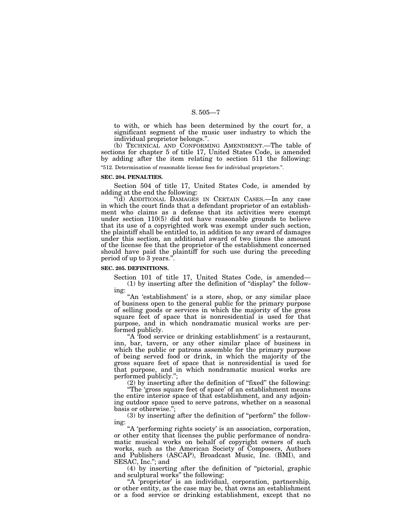to with, or which has been determined by the court for, a significant segment of the music user industry to which the individual proprietor belongs.''.

(b) TECHNICAL AND CONFORMING AMENDMENT.—The table of sections for chapter 5 of title 17, United States Code, is amended by adding after the item relating to section 511 the following:

''512. Determination of reasonable license fees for individual proprietors.''.

#### **SEC. 204. PENALTIES.**

Section 504 of title 17, United States Code, is amended by adding at the end the following:

''(d) ADDITIONAL DAMAGES IN CERTAIN CASES.—In any case in which the court finds that a defendant proprietor of an establishment who claims as a defense that its activities were exempt under section 110(5) did not have reasonable grounds to believe that its use of a copyrighted work was exempt under such section, the plaintiff shall be entitled to, in addition to any award of damages under this section, an additional award of two times the amount of the license fee that the proprietor of the establishment concerned should have paid the plaintiff for such use during the preceding period of up to 3 years.''.

#### **SEC. 205. DEFINITIONS.**

Section 101 of title 17, United States Code, is amended— (1) by inserting after the definition of ''display'' the following:

"An 'establishment' is a store, shop, or any similar place of business open to the general public for the primary purpose of selling goods or services in which the majority of the gross square feet of space that is nonresidential is used for that purpose, and in which nondramatic musical works are performed publicly.

"A 'food service or drinking establishment' is a restaurant, inn, bar, tavern, or any other similar place of business in which the public or patrons assemble for the primary purpose of being served food or drink, in which the majority of the gross square feet of space that is nonresidential is used for that purpose, and in which nondramatic musical works are performed publicly.'';

(2) by inserting after the definition of ''fixed'' the following:

''The 'gross square feet of space' of an establishment means the entire interior space of that establishment, and any adjoining outdoor space used to serve patrons, whether on a seasonal basis or otherwise.'';

(3) by inserting after the definition of ''perform'' the following:

"A 'performing rights society' is an association, corporation, or other entity that licenses the public performance of nondramatic musical works on behalf of copyright owners of such works, such as the American Society of Composers, Authors and Publishers (ASCAP), Broadcast Music, Inc. (BMI), and SESAC, Inc.''; and

(4) by inserting after the definition of ''pictorial, graphic and sculptural works'' the following:

''A 'proprietor' is an individual, corporation, partnership, or other entity, as the case may be, that owns an establishment or a food service or drinking establishment, except that no